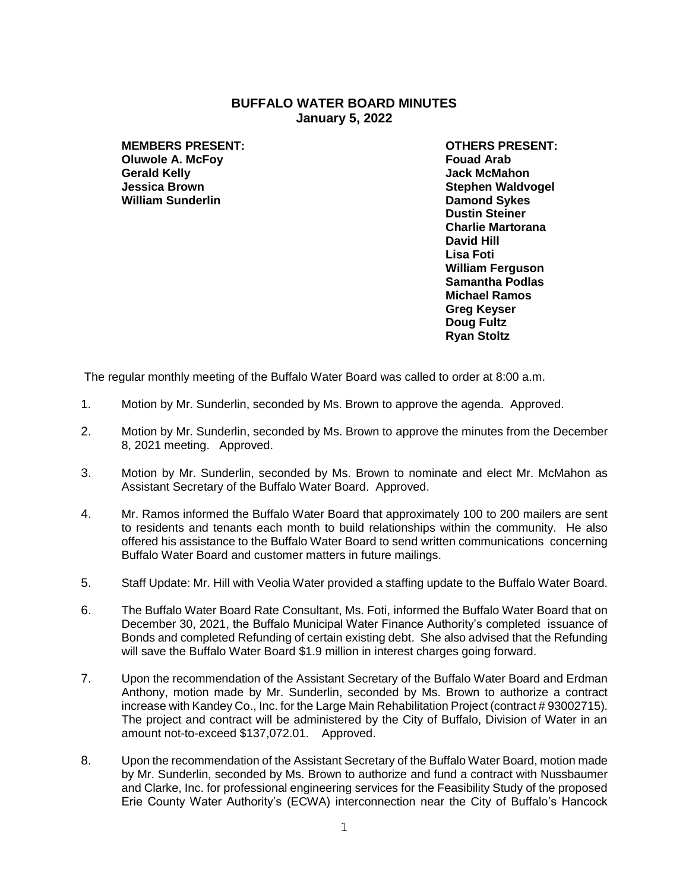## **BUFFALO WATER BOARD MINUTES January 5, 2022**

**MEMBERS PRESENT: OTHERS PRESENT: Oluwole A. McFoy Fouad Arab Gerald Kelly Jack McMahon William Sunderlin Damond Sykes**

**Stephen Waldvogel Dustin Steiner Charlie Martorana David Hill Lisa Foti William Ferguson Samantha Podlas Michael Ramos Greg Keyser Doug Fultz Ryan Stoltz**

The regular monthly meeting of the Buffalo Water Board was called to order at 8:00 a.m.

- 1. Motion by Mr. Sunderlin, seconded by Ms. Brown to approve the agenda. Approved.
- 2. Motion by Mr. Sunderlin, seconded by Ms. Brown to approve the minutes from the December 8, 2021 meeting. Approved.
- 3. Motion by Mr. Sunderlin, seconded by Ms. Brown to nominate and elect Mr. McMahon as Assistant Secretary of the Buffalo Water Board. Approved.
- 4. Mr. Ramos informed the Buffalo Water Board that approximately 100 to 200 mailers are sent to residents and tenants each month to build relationships within the community. He also offered his assistance to the Buffalo Water Board to send written communications concerning Buffalo Water Board and customer matters in future mailings.
- 5. Staff Update: Mr. Hill with Veolia Water provided a staffing update to the Buffalo Water Board.
- 6. The Buffalo Water Board Rate Consultant, Ms. Foti, informed the Buffalo Water Board that on December 30, 2021, the Buffalo Municipal Water Finance Authority's completed issuance of Bonds and completed Refunding of certain existing debt. She also advised that the Refunding will save the Buffalo Water Board \$1.9 million in interest charges going forward.
- 7. Upon the recommendation of the Assistant Secretary of the Buffalo Water Board and Erdman Anthony, motion made by Mr. Sunderlin, seconded by Ms. Brown to authorize a contract increase with Kandey Co., Inc. for the Large Main Rehabilitation Project (contract # 93002715). The project and contract will be administered by the City of Buffalo, Division of Water in an amount not-to-exceed \$137,072.01. Approved.
- 8. Upon the recommendation of the Assistant Secretary of the Buffalo Water Board, motion made by Mr. Sunderlin, seconded by Ms. Brown to authorize and fund a contract with Nussbaumer and Clarke, Inc. for professional engineering services for the Feasibility Study of the proposed Erie County Water Authority's (ECWA) interconnection near the City of Buffalo's Hancock